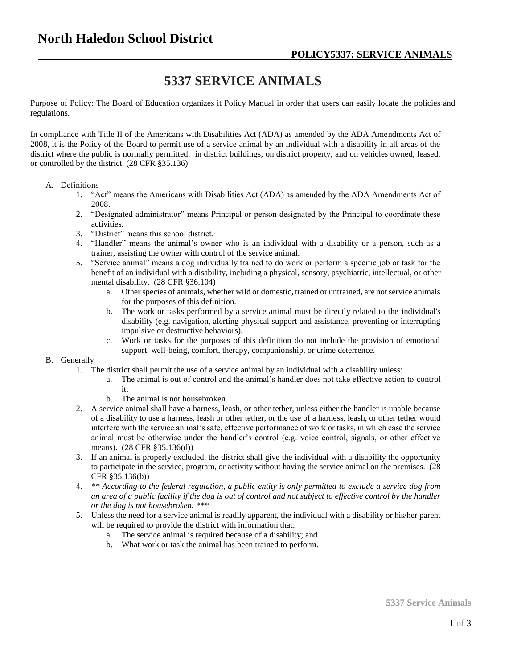## **5337 SERVICE ANIMALS**

Purpose of Policy: The Board of Education organizes it Policy Manual in order that users can easily locate the policies and regulations.

In compliance with Title II of the Americans with Disabilities Act (ADA) as amended by the ADA Amendments Act of 2008, it is the Policy of the Board to permit use of a service animal by an individual with a disability in all areas of the district where the public is normally permitted: in district buildings; on district property; and on vehicles owned, leased, or controlled by the district. (28 CFR §35.136)

## A. Definitions

- 1. "Act" means the Americans with Disabilities Act (ADA) as amended by the ADA Amendments Act of 2008.
- 2. "Designated administrator" means Principal or person designated by the Principal to coordinate these activities.
- 3. "District" means this school district.
- 4. "Handler" means the animal's owner who is an individual with a disability or a person, such as a trainer, assisting the owner with control of the service animal.
- 5. "Service animal" means a dog individually trained to do work or perform a specific job or task for the benefit of an individual with a disability, including a physical, sensory, psychiatric, intellectual, or other mental disability. (28 CFR §36.104)
	- a. Other species of animals, whether wild or domestic, trained or untrained, are not service animals for the purposes of this definition.
	- b. The work or tasks performed by a service animal must be directly related to the individual's disability (e.g. navigation, alerting physical support and assistance, preventing or interrupting impulsive or destructive behaviors).
	- c. Work or tasks for the purposes of this definition do not include the provision of emotional support, well-being, comfort, therapy, companionship, or crime deterrence.

## B. Generally

- 1. The district shall permit the use of a service animal by an individual with a disability unless:
	- a. The animal is out of control and the animal's handler does not take effective action to control it;
	- b. The animal is not housebroken.
- 2. A service animal shall have a harness, leash, or other tether, unless either the handler is unable because of a disability to use a harness, leash or other tether, or the use of a harness, leash, or other tether would interfere with the service animal's safe, effective performance of work or tasks, in which case the service animal must be otherwise under the handler's control (e.g. voice control, signals, or other effective means). (28 CFR §35.136(d))
- 3. If an animal is properly excluded, the district shall give the individual with a disability the opportunity to participate in the service, program, or activity without having the service animal on the premises. (28 CFR §35.136(b))
- 4. *\*\* According to the federal regulation, a public entity is only permitted to exclude a service dog from an area of a public facility if the dog is out of control and not subject to effective control by the handler or the dog is not housebroken. \*\*\**
- 5. Unless the need for a service animal is readily apparent, the individual with a disability or his/her parent will be required to provide the district with information that:
	- a. The service animal is required because of a disability; and
	- b. What work or task the animal has been trained to perform.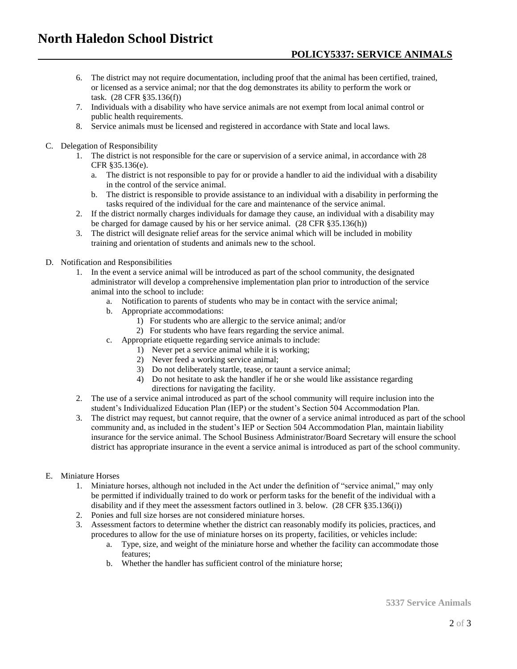- 6. The district may not require documentation, including proof that the animal has been certified, trained, or licensed as a service animal; nor that the dog demonstrates its ability to perform the work or task. (28 CFR §35.136(f))
- 7. Individuals with a disability who have service animals are not exempt from local animal control or public health requirements.
- 8. Service animals must be licensed and registered in accordance with State and local laws.
- C. Delegation of Responsibility
	- 1. The district is not responsible for the care or supervision of a service animal, in accordance with 28 CFR §35.136(e).
		- a. The district is not responsible to pay for or provide a handler to aid the individual with a disability in the control of the service animal.
		- b. The district is responsible to provide assistance to an individual with a disability in performing the tasks required of the individual for the care and maintenance of the service animal.
	- 2. If the district normally charges individuals for damage they cause, an individual with a disability may be charged for damage caused by his or her service animal. (28 CFR §35.136(h))
	- 3. The district will designate relief areas for the service animal which will be included in mobility training and orientation of students and animals new to the school.
- D. Notification and Responsibilities
	- 1. In the event a service animal will be introduced as part of the school community, the designated administrator will develop a comprehensive implementation plan prior to introduction of the service animal into the school to include:
		- a. Notification to parents of students who may be in contact with the service animal;
		- b. Appropriate accommodations:
			- 1) For students who are allergic to the service animal; and/or
			- 2) For students who have fears regarding the service animal.
		- c. Appropriate etiquette regarding service animals to include:
			- 1) Never pet a service animal while it is working;
			- 2) Never feed a working service animal;
			- 3) Do not deliberately startle, tease, or taunt a service animal;
			- 4) Do not hesitate to ask the handler if he or she would like assistance regarding directions for navigating the facility.
	- 2. The use of a service animal introduced as part of the school community will require inclusion into the student's Individualized Education Plan (IEP) or the student's Section 504 Accommodation Plan.
	- 3. The district may request, but cannot require, that the owner of a service animal introduced as part of the school community and, as included in the student's IEP or Section 504 Accommodation Plan, maintain liability insurance for the service animal. The School Business Administrator/Board Secretary will ensure the school district has appropriate insurance in the event a service animal is introduced as part of the school community.

## E. Miniature Horses

- 1. Miniature horses, although not included in the Act under the definition of "service animal," may only be permitted if individually trained to do work or perform tasks for the benefit of the individual with a disability and if they meet the assessment factors outlined in 3. below. (28 CFR §35.136(i))
- 2. Ponies and full size horses are not considered miniature horses.
- 3. Assessment factors to determine whether the district can reasonably modify its policies, practices, and procedures to allow for the use of miniature horses on its property, facilities, or vehicles include:
	- a. Type, size, and weight of the miniature horse and whether the facility can accommodate those features;
	- b. Whether the handler has sufficient control of the miniature horse;